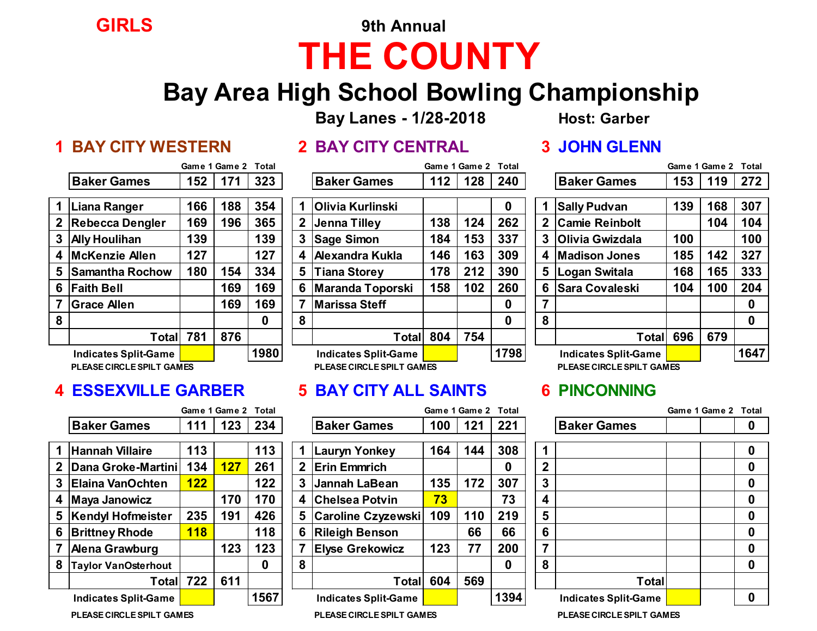## **GIRLS 9th Annual THE COUNTY**

### **Bay Area High School Bowling Championship**

**Bay Lanes - 1/28-2018 Host: Garber**

### **1 BAY CITY WESTERN 2 BAY CITY CENTRAL 3 JOHN GLENN**

|  | <b>2 BAY CITY CENTRAI</b> |  |
|--|---------------------------|--|
|  |                           |  |

|   |                    | Game 1 Game 2 Total |     |            |   |                         |     | Game 1 Game 2 Total |      |                       |                       |     | Game 1 Game 2 Total |          |
|---|--------------------|---------------------|-----|------------|---|-------------------------|-----|---------------------|------|-----------------------|-----------------------|-----|---------------------|----------|
|   | <b>Baker Games</b> | 152                 | 171 | 323        |   | <b>Baker Games</b>      | 112 | 128                 | 240  |                       | <b>Baker Games</b>    | 153 | 119                 | 272      |
|   | Liana Ranger       | 166                 | 188 | 354        |   | <b>Olivia Kurlinski</b> |     |                     | 0    |                       | <b>Sally Pudvan</b>   | 139 | 168                 | 307      |
|   | 2 Rebecca Dengler  | 169                 | 196 | 365        | 2 | Jenna Tilley            | 138 | 124                 | 262  | $\mathbf{2}^{\prime}$ | <b>Camie Reinbolt</b> |     | 104                 | 104      |
|   | 3 Ally Houlihan    | 139                 |     | 139        | 3 | <b>Sage Simon</b>       | 184 | 153                 | 337  |                       | 3 Olivia Gwizdala     | 100 |                     | 100      |
|   | 4 McKenzie Allen   | 127                 |     | 127        | 4 | <b>Alexandra Kukla</b>  | 146 | 163                 | 309  | 4                     | <b>Madison Jones</b>  | 185 | 142                 | 327      |
|   | 5 Samantha Rochow  | 180                 | 154 | 334        | 5 | <b>Tiana Storey</b>     | 178 | 212                 | 390  |                       | 5 Logan Switala       | 168 | 165                 | 333      |
|   | 6 Faith Bell       |                     | 169 | 169        | 6 | <b>Maranda Toporski</b> | 158 | 102                 | 260  |                       | 6 Sara Covaleski      | 104 | 100                 | 204      |
|   | <b>Grace Allen</b> |                     | 169 | 169        |   | Marissa Steff           |     |                     | 0    |                       |                       |     |                     | 0        |
| 8 |                    |                     |     | 0          | 8 |                         |     |                     | 0    | 8                     |                       |     |                     | $\bf{0}$ |
|   | Total              | 781                 | 876 |            |   | Total                   | 804 | 754                 |      |                       | Totall                | 696 | 679                 |          |
|   |                    |                     |     | $\sqrt{2}$ |   |                         |     |                     | 1700 |                       |                       |     |                     | 101      |

|                             |     | Game 1 Game 2 Total |      |   |                             |     | Game 1 Game 2 | Total |              |                             |     | Game 1 Game 2 | Total |
|-----------------------------|-----|---------------------|------|---|-----------------------------|-----|---------------|-------|--------------|-----------------------------|-----|---------------|-------|
| <b>Baker Games</b>          | 152 | 171                 | 323  |   | <b>Baker Games</b>          | 112 | 128           | 240   |              | <b>Baker Games</b>          | 153 | 119           | 272   |
| Liana Ranger                | 166 | 188                 | 354  |   | <b>Olivia Kurlinski</b>     |     |               | 0     |              | <b>Sally Pudvan</b>         | 139 | 168           | 307   |
| <b>Rebecca Dengler</b>      | 169 | 196                 | 365  |   | 2 Jenna Tilley              | 138 | 124           | 262   | $\mathbf{2}$ | <b>Camie Reinbolt</b>       |     | 104           | 104   |
| <b>Ally Houlihan</b>        | 139 |                     | 139  |   | 3 Sage Simon                | 184 | 153           | 337   | 3            | <b>Olivia Gwizdala</b>      | 100 |               | 100   |
| <b>McKenzie Allen</b>       | 127 |                     | 127  |   | 4 Alexandra Kukla           | 146 | 163           | 309   |              | 4 Madison Jones             | 185 | 142           | 327   |
| <b>Samantha Rochow</b>      | 180 | 154                 | 334  |   | 5 I<br><b>Tiana Storey</b>  | 178 | 212           | 390   | 5            | Logan Switala               | 168 | 165           | 333   |
| <b>Faith Bell</b>           |     | 169                 | 169  |   | 6 Maranda Toporski          | 158 | 102           | 260   | 6            | <b>Sara Covaleski</b>       | 104 | 100           | 204   |
| <b>Grace Allen</b>          |     | 169                 | 169  |   | <b>Marissa Steff</b>        |     |               | 0     |              |                             |     |               | 0     |
|                             |     |                     | 0    | 8 |                             |     |               | 0     | 8            |                             |     |               | 0     |
| Total                       | 781 | 876                 |      |   | Total                       | 804 | 754           |       |              | Total                       | 696 | 679           |       |
| <b>Indicates Split-Game</b> |     |                     | 1980 |   | <b>Indicates Split-Game</b> |     |               | 1798  |              | <b>Indicates Split-Game</b> |     |               | 1647  |
| PLEASE CIRCLE SPILT GAMES   |     |                     |      |   | PLEASE CIRCLE SPILT GAMES   |     |               |       |              | PLEASE CIRCLE SPILT GAMES   |     |               |       |

### **4 ESSEXVILLE GARBER 5 BAY CITY ALL SAINTS 6 PINCONNING**

|   |                             |     | Game 1 Game 2 Total |      |   |                             |     | Game 1 Game 2 Total |          |              |                             | Game 1 Game 2 Tot |
|---|-----------------------------|-----|---------------------|------|---|-----------------------------|-----|---------------------|----------|--------------|-----------------------------|-------------------|
|   | <b>Baker Games</b>          | 111 | 123                 | 234  |   | <b>Baker Games</b>          | 100 | 121                 | 221      |              | <b>Baker Games</b>          |                   |
|   | <b>Hannah Villaire</b>      | 113 |                     | 113  |   | <b>Lauryn Yonkey</b>        | 164 | 144                 | 308      |              |                             | 0                 |
|   | Dana Groke-Martini          | 134 | 127                 | 261  |   | 2 Erin Emmrich              |     |                     | 0        | $\mathbf{2}$ |                             | 0                 |
|   | <b>Elaina VanOchten</b>     | 122 |                     | 122  |   | 3 Jannah LaBean             | 135 | 172                 | 307      | 3            |                             | 0                 |
|   | Maya Janowicz               |     | 170                 | 170  |   | 4 Chelsea Potvin            | 73  |                     | 73       | 4            |                             | 0                 |
|   | 5  Kendyl Hofmeister        | 235 | 191                 | 426  |   | 5 Caroline Czyzewski        | 109 | 110                 | 219      | 5            |                             |                   |
| 6 | <b>Brittney Rhode</b>       | 118 |                     | 118  |   | 6 Rileigh Benson            |     | 66                  | 66       | 6            |                             |                   |
|   | <b>Alena Grawburg</b>       |     | 123                 | 123  |   | <b>Elyse Grekowicz</b>      | 123 | 77                  | 200      | 7            |                             |                   |
| 8 | <b>Taylor VanOsterhout</b>  |     |                     | 0    | 8 |                             |     |                     | $\bf{0}$ | 8            |                             |                   |
|   | Total                       | 722 | 611                 |      |   | <b>Total</b>                | 604 | 569                 |          |              | Total                       |                   |
|   | <b>Indicates Split-Game</b> |     |                     | 1567 |   | <b>Indicates Split-Game</b> |     |                     | 1394     |              | <b>Indicates Split-Game</b> |                   |

|                             |     | Game 1 Game 2 Total |          |                             |     | Game 1 Game 2 Total |      |   |                             | Game 1 Game 2 Total |          |
|-----------------------------|-----|---------------------|----------|-----------------------------|-----|---------------------|------|---|-----------------------------|---------------------|----------|
| <b>Baker Games</b>          | 111 | 123                 | 234      | <b>Baker Games</b>          | 100 | 121                 | 221  |   | <b>Baker Games</b>          |                     | 0        |
|                             |     |                     |          |                             |     |                     |      |   |                             |                     |          |
| Hannah Villaire             | 113 |                     | 113      | Lauryn Yonkey               | 164 | 144                 | 308  |   |                             |                     | 0        |
| Dana Groke-Martini <i>\</i> | 134 | 127                 | 261      | 2 Erin Emmrich              |     |                     | 0    | 2 |                             |                     | $\bf{0}$ |
| Elaina VanOchten            | 122 |                     | 122      | 3 Jannah LaBean             | 135 | 172                 | 307  | 3 |                             |                     | $\bf{0}$ |
| Maya Janowicz               |     | 170                 | 170      | 4 Chelsea Potvin            | 73  |                     | 73   | 4 |                             |                     | $\bf{0}$ |
| Kendyl Hofmeister           | 235 | 191                 | 426      | 5 Caroline Czyzewski        | 109 | 110                 | 219  | 5 |                             |                     | $\bf{0}$ |
| <b>Brittney Rhode</b>       | 118 |                     | 118      | 6 Rileigh Benson            |     | 66                  | 66   | 6 |                             |                     | $\bf{0}$ |
| Alena Grawburg              |     | 123                 | 123      | <b>Elyse Grekowicz</b>      | 123 | 77                  | 200  |   |                             |                     | 0        |
| Taylor VanOsterhout         |     |                     | $\bf{0}$ |                             |     |                     | 0    | 8 |                             |                     | 0        |
| Total                       | 722 | 611                 |          | Total                       | 604 | 569                 |      |   | Total                       |                     |          |
| <b>Indicates Split-Game</b> |     |                     | 1567     | <b>Indicates Split-Game</b> |     |                     | 1394 |   | <b>Indicates Split-Game</b> |                     | $\bf{0}$ |
|                             |     |                     |          |                             |     |                     |      |   |                             |                     |          |

|                         |                              | Game 1 Game 2 Total |          |
|-------------------------|------------------------------|---------------------|----------|
|                         | <b>Baker Games</b>           |                     | 0        |
|                         |                              |                     |          |
| 1                       |                              |                     | 0        |
| $\boldsymbol{2}$        |                              |                     | 0        |
| $\overline{\mathbf{3}}$ |                              |                     | 0        |
| $\overline{\mathbf{4}}$ |                              |                     | 0        |
| $5\phantom{.0}$         |                              |                     | 0        |
| $\boldsymbol{6}$        |                              |                     | 0        |
| $\overline{\mathbf{7}}$ |                              |                     | 0        |
| 8                       |                              |                     | $\bf{0}$ |
|                         | <b>Total</b>                 |                     |          |
|                         | <b>Indicates Split-Game</b>  |                     |          |
|                         | DI FACE CIDOI E COIL T CAMEC |                     |          |

**PLEASE CIRCLESPILT GAMES PLEASE CIRCLESPILT GAMES PLEASE CIRCLESPILT GAMES**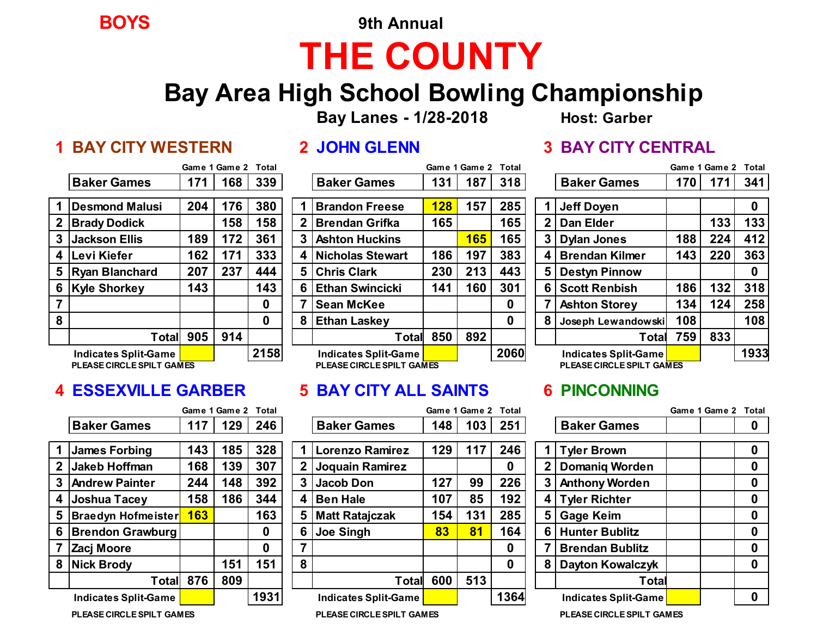**BOYS 9th Annual**

# **THE COUNTY**

### **Bay Area High School Bowling Championship**

**Bay Lanes - 1/28-2018 Host: Garber**

### **1 BAY CITY WESTERN 2 JOHN GLENN 3 BAY CITY CENTRAL**

|                  |                             |     | Game 1 Game 2 | Total |
|------------------|-----------------------------|-----|---------------|-------|
|                  | <b>Baker Games</b>          | 171 | 168           | 339   |
|                  | <b>Desmond Malusi</b>       | 204 | 176           | 380   |
| $\boldsymbol{2}$ | <b>Brady Dodick</b>         |     | 158           | 158   |
| 3                | <b>Jackson Ellis</b>        | 189 | 172           | 361   |
| 4                | lLevi Kiefer                | 162 | 171           | 333   |
| 5                | <b>Ryan Blanchard</b>       | 207 | 237           | 444   |
| 6                | <b>Kyle Shorkey</b>         | 143 |               | 143   |
| 7                |                             |     |               | 0     |
| 8                |                             |     |               | 0     |
|                  | <b>Total</b>                | 905 | 914           |       |
|                  | <b>Indicates Split-Game</b> |     |               | 2158  |

|     |                             | Game 1 Game 2 |     | Total |   |                           |     | Game 1 Game 2 Total |      |   |                           |     | Game 1 Game 2 Total |     |
|-----|-----------------------------|---------------|-----|-------|---|---------------------------|-----|---------------------|------|---|---------------------------|-----|---------------------|-----|
|     | <b>Baker Games</b>          | 171           | 168 | 339   |   | <b>Baker Games</b>        | 131 | 187                 | 318  |   | <b>Baker Games</b>        | 170 | 171                 | 341 |
|     |                             |               |     |       |   |                           |     |                     |      |   |                           |     |                     |     |
|     | Desmond Malusi              | 204           | 176 | 380   |   | <b>Brandon Freese</b>     | 128 | 157                 | 285  |   | Jeff Doyen                |     |                     | 0   |
|     | <b>Brady Dodick</b>         |               | 158 | 158   | 2 | l Brendan Grifka          | 165 |                     | 165  |   | <b>Dan Elder</b>          |     | 133                 | 133 |
| 3 I | <b>Jackson Ellis</b>        | 189           | 172 | 361   |   | 3 Ashton Huckins          |     | 165                 | 165  | 3 | <b>Dylan Jones</b>        | 188 | 224                 | 412 |
| 4   | Levi Kiefer                 | 162           | 171 | 333   |   | 4 Nicholas Stewart        | 186 | 197                 | 383  |   | <b>Brendan Kilmer</b>     | 143 | 220                 | 363 |
|     | 5 Ryan Blanchard            | 207           | 237 | 444   |   | 5 Chris Clark             | 230 | 213                 | 443  | 5 | <b>Destyn Pinnow</b>      |     |                     | 0   |
|     | 6 Kyle Shorkey              | 143           |     | 143   |   | 6 Ethan Swincicki         | 141 | 160                 | 301  | 6 | <b>Scott Renbish</b>      | 186 | 132                 | 318 |
|     |                             |               |     | 0     |   | <b>Sean McKee</b>         |     |                     | 0    |   | <b>Ashton Storey</b>      | 134 | 124                 | 258 |
| 8   |                             |               |     | 0     | 8 | <b>Ethan Laskey</b>       |     |                     | 0    |   | Joseph Lewandowski        | 108 |                     | 108 |
|     | Total                       | 905           | 914 |       |   | Total                     | 850 | 892                 |      |   | Total                     | 759 | 833                 |     |
|     | <b>Indicates Split-Game</b> |               |     | 2158  |   | Indicates Split-Game      |     |                     | 2060 |   | Indicates Split-Game      |     |                     | 193 |
|     | PLEASE CIRCLE SPILT GAMES   |               |     |       |   | PLEASE CIRCLE SPILT GAMES |     |                     |      |   | PLEASE CIRCLE SPILT GAMES |     |                     |     |

### **4 ESSEXVILLE GARBER 5 BAY CITY ALL SAINTS 6 PINCONNING**

|                |                             |           | Game 1 Game 2 Total |      |   |                             |     | Game 1 Game 2 Total |      |     |                             | Game 1 Game 2 Tot |  |
|----------------|-----------------------------|-----------|---------------------|------|---|-----------------------------|-----|---------------------|------|-----|-----------------------------|-------------------|--|
|                | <b>Baker Games</b>          | 117       | 129                 | 246  |   | <b>Baker Games</b>          | 148 | 103                 | 251  |     | <b>Baker Games</b>          |                   |  |
|                | <b>James Forbing</b>        | 143       | 185                 | 328  |   | <b>Lorenzo Ramirez</b>      | 129 | 117                 | 246  |     | <b>Tyler Brown</b>          |                   |  |
|                | <b>Jakeb Hoffman</b>        | 168       | 139                 | 307  |   | Joquain Ramirez             |     |                     | 0    |     | <b>Domaniq Worden</b>       |                   |  |
| 3 <sup>1</sup> | <b>Andrew Painter</b>       | 244       | 148                 | 392  |   | Jacob Don                   | 127 | 99                  | 226  | 3   | <b>Anthony Worden</b>       |                   |  |
| $\sim$         | Joshua Tacey                | 158       | 186                 | 344  | 4 | <b>Ben Hale</b>             | 107 | 85                  | 192  | 4 I | <b>Tyler Richter</b>        |                   |  |
|                | 5   Braedyn Hofmeister      | 163       |                     | 163  |   | <b>Matt Ratajczak</b>       | 154 | 131                 | 285  | 5   | <b>Gage Keim</b>            |                   |  |
|                | 6   Brendon Grawburg        |           |                     | 0    | 6 | <b>Joe Singh</b>            | 83  | 81                  | 164  | 6   | <b>Hunter Bublitz</b>       |                   |  |
|                | Zacj Moore                  |           |                     | 0    |   |                             |     |                     | 0    |     | <b>Brendan Bublitz</b>      |                   |  |
|                | 8 Nick Brody                |           | 151                 | 151  | 8 |                             |     |                     | 0    | 8   | <b>Dayton Kowalczyk</b>     |                   |  |
|                |                             | Total 876 | 809                 |      |   | Total                       | 600 | 513                 |      |     | Total                       |                   |  |
|                | <b>Indicates Split-Game</b> |           |                     | 1931 |   | <b>Indicates Split-Game</b> |     |                     | 1364 |     | <b>Indicates Split-Game</b> |                   |  |

|                                     |            | Game 1 Game 2 Total |          |   |                           |     | Game 1 Game 2 Total |          |                |                                  | Game 1 Game 2 Total |             |
|-------------------------------------|------------|---------------------|----------|---|---------------------------|-----|---------------------|----------|----------------|----------------------------------|---------------------|-------------|
| <b>Baker Games</b>                  | 117        | 129                 | 246      |   | <b>Baker Games</b>        | 148 | 103                 | 251      |                | <b>Baker Games</b>               |                     | 0           |
|                                     |            |                     |          |   |                           |     |                     |          |                |                                  |                     |             |
| <b>James Forbing</b>                | 143        | 185                 | 328      |   | <b>Lorenzo Ramirez</b>    | 129 | 117                 | 246      |                | <b>Tyler Brown</b>               |                     | $\mathbf 0$ |
| Jakeb Hoffman                       | 168        | 139                 | 307      |   | <b>Joquain Ramirez</b>    |     |                     | 0        |                | <b>Domaniq Worden</b>            |                     | $\bf{0}$    |
| <b>Andrew Painter</b>               | 244        | 148                 | 392      |   | 3 Jacob Don               | 127 | 99                  | 226      | 3              | <b>Anthony Worden</b>            |                     | $\bf{0}$    |
| Joshua Tacey                        | 158        | 186                 | 344      |   | 4 Ben Hale                | 107 | 85                  | 192      | 4'             | Tyler Richter                    |                     | 0           |
| Braedyn Hofmeister <mark> </mark>   | <b>163</b> |                     | 163      | 5 | <b>Matt Ratajczak</b>     | 154 | 131                 | 285      | 5              | <b>Gage Keim</b>                 |                     | $\mathbf 0$ |
| Brendon Grawburg                    |            |                     | $\bf{0}$ |   | Joe Singh                 | 83  | 81                  | 164      | 6 <sup>1</sup> | <b>Hunter Bublitz</b>            |                     | $\mathbf 0$ |
| Zacj Moore                          |            |                     | 0        |   |                           |     |                     | 0        |                | <b>Brendan Bublitz</b>           |                     | $\bf{0}$    |
| <b>Nick Brody</b>                   |            | 151                 | 151      | 8 |                           |     |                     | $\bf{0}$ | 8              | <b>Dayton Kowalczyk</b>          |                     | $\bf{0}$    |
|                                     | Total 876  | 809                 |          |   | Total                     | 600 | 513                 |          |                | Total                            |                     |             |
| <b>Indicates Split-Game</b>         |            |                     | 1931     |   | Indicates Split-Game      |     |                     | 1364     |                | Indicates Split-Game             |                     | $\bf{0}$    |
| <u>DI EA OF OIDOI E ODILT OANEC</u> |            |                     |          |   | BLEASE SIBOLE SBUIT SAMES |     |                     |          |                | <u>DLEACE GIDOLE CDU T CANEC</u> |                     |             |

|             |                             |     | Game 1 Game 2 | Total |
|-------------|-----------------------------|-----|---------------|-------|
|             | <b>Baker Games</b>          | 170 | 171           | 341   |
| 1           | <b>Jeff Doyen</b>           |     |               | Ω     |
| $\mathbf 2$ | <b>Dan Elder</b>            |     | 133           | 133   |
| 3           | <b>Dylan Jones</b>          | 188 | 224           | 412   |
| 4           | <b>Brendan Kilmer</b>       | 143 | 220           | 363   |
| 5           | <b>Destyn Pinnow</b>        |     |               | 0     |
| 6           | <b>Scott Renbish</b>        | 186 | 132           | 318   |
| 7           | <b>Ashton Storey</b>        | 134 | 124           | 258   |
| 8           | Joseph Lewandowski          | 108 |               | 108   |
|             | Total                       | 759 | 833           |       |
|             | <b>Indicates Split-Game</b> |     |               | 1933  |
|             | PLEASE CIRCLE SPILT GAMES   |     |               |       |

|             |                             | Game 1 Game 2 Total |   |
|-------------|-----------------------------|---------------------|---|
|             | <b>Baker Games</b>          |                     | O |
|             |                             |                     |   |
|             | <b>Tyler Brown</b>          |                     | 0 |
| $\mathbf 2$ | <b>Domaniq Worden</b>       |                     | 0 |
| 3           | <b>Anthony Worden</b>       |                     | 0 |
| 4           | <b>Tyler Richter</b>        |                     | 0 |
| 5           | <b>Gage Keim</b>            |                     | 0 |
| 6           | <b>Hunter Bublitz</b>       |                     | 0 |
| 7           | <b>Brendan Bublitz</b>      |                     | 0 |
| 8           | <b>Dayton Kowalczyk</b>     |                     | 0 |
|             | Total                       |                     |   |
|             | <b>Indicates Split-Game</b> |                     |   |
|             | PLEASE CIRCLE SPILT GAMES   |                     |   |

**PLEASE CIRCLESPILT GAMES PLEASE CIRCLESPILT GAMES PLEASE CIRCLESPILT GAMES**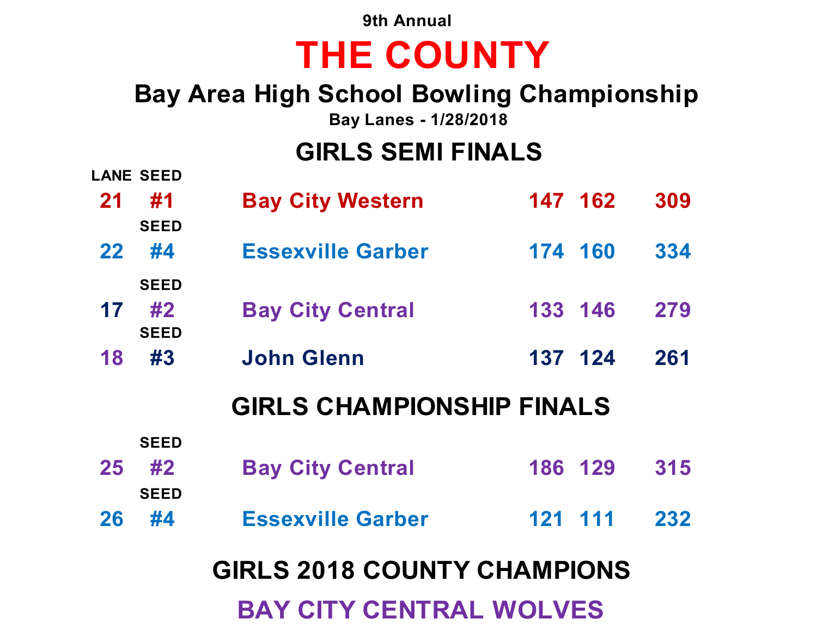**9th Annual**

# **THE COUNTY**

### **Bay Area High School Bowling Championship**

**Bay Lanes - 1/28/2018**

## **GIRLS SEMI FINALS**

|                                    | <b>LANE SEED</b>                 |                          |         |  |     |  |  |  |
|------------------------------------|----------------------------------|--------------------------|---------|--|-----|--|--|--|
| 21                                 | #1<br><b>SEED</b>                | <b>Bay City Western</b>  | 147 162 |  | 309 |  |  |  |
| $22 \,$                            | #4                               | <b>Essexville Garber</b> | 174 160 |  | 334 |  |  |  |
| 17                                 | <b>SEED</b><br>#2<br><b>SEED</b> | <b>Bay City Central</b>  | 133 146 |  | 279 |  |  |  |
| 18                                 | #3                               | John Glenn               | 137 124 |  | 261 |  |  |  |
| <b>GIRLS CHAMPIONSHIP FINALS</b>   |                                  |                          |         |  |     |  |  |  |
|                                    | <b>SEED</b>                      |                          |         |  |     |  |  |  |
| 25                                 | #2                               | <b>Bay City Central</b>  | 186 129 |  | 315 |  |  |  |
|                                    | <b>SEED</b>                      |                          |         |  |     |  |  |  |
| 26                                 | #4                               | <b>Essexville Garber</b> | 121 111 |  | 232 |  |  |  |
| <b>GIRLS 2018 COUNTY CHAMPIONS</b> |                                  |                          |         |  |     |  |  |  |
| <b>BAY CITY CENTRAL WOLVES</b>     |                                  |                          |         |  |     |  |  |  |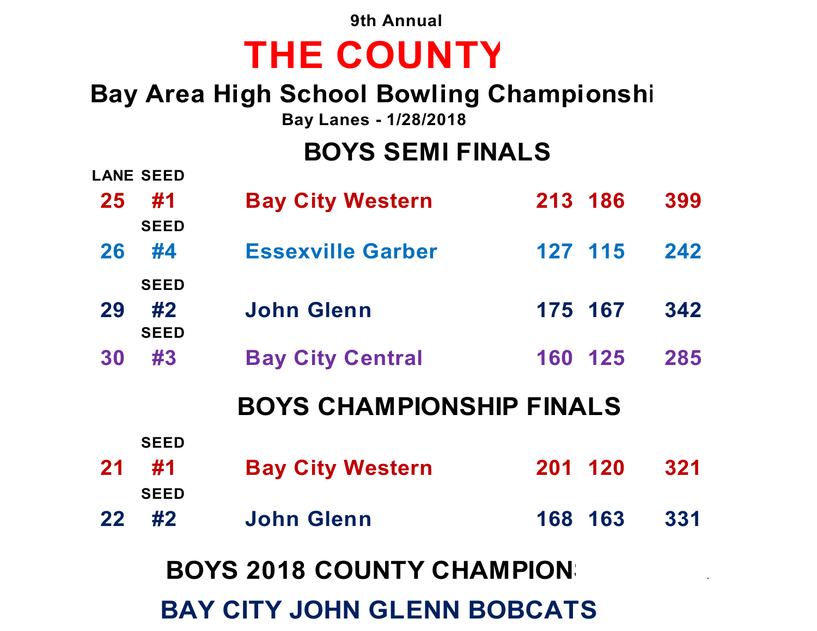**9th Annual**

# **THE COUNTY**

## **Bay Area High School Bowling Championshi**

**Bay Lanes - 1/28/2018**

### **BOYS SEMI FINALS**

|                                    | <b>LANE SEED</b>  |                          |         |     |  |  |  |  |
|------------------------------------|-------------------|--------------------------|---------|-----|--|--|--|--|
| 25                                 | #1<br><b>SEED</b> | <b>Bay City Western</b>  | 213 186 | 399 |  |  |  |  |
| 26                                 | #4                | <b>Essexville Garber</b> | 127 115 | 242 |  |  |  |  |
|                                    | <b>SEED</b>       |                          |         |     |  |  |  |  |
| 29                                 | #2<br><b>SEED</b> | <b>John Glenn</b>        | 175 167 | 342 |  |  |  |  |
| 30                                 | #3                | <b>Bay City Central</b>  | 160 125 | 285 |  |  |  |  |
| <b>BOYS CHAMPIONSHIP FINALS</b>    |                   |                          |         |     |  |  |  |  |
|                                    | <b>SEED</b>       |                          |         |     |  |  |  |  |
| 21                                 | #1                | <b>Bay City Western</b>  | 201 120 | 321 |  |  |  |  |
|                                    | <b>SEED</b>       |                          |         |     |  |  |  |  |
| 22                                 | #2                | <b>John Glenn</b>        | 168 163 | 331 |  |  |  |  |
| <b>BOYS 2018 COUNTY CHAMPION:</b>  |                   |                          |         |     |  |  |  |  |
| <b>BAY CITY JOHN GLENN BOBCATS</b> |                   |                          |         |     |  |  |  |  |